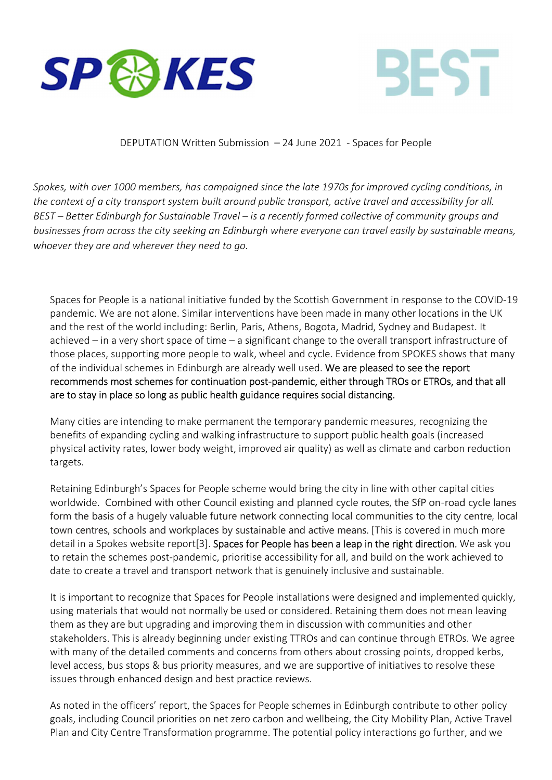



DEPUTATION Written Submission – 24 June 2021 - Spaces for People

Spokes, with over 1000 members, has campaigned since the late 1970s for improved cycling conditions, in the context of a city transport system built around public transport, active travel and accessibility for all. BEST – Better Edinburgh for Sustainable Travel – is a recently formed collective of community groups and businesses from across the city seeking an Edinburgh where everyone can travel easily by sustainable means, whoever they are and wherever they need to go.

Spaces for People is a national initiative funded by the Scottish Government in response to the COVID-19 pandemic. We are not alone. Similar interventions have been made in many other locations in the UK and the rest of the world including: Berlin, Paris, Athens, Bogota, Madrid, Sydney and Budapest. It achieved – in a very short space of time – a significant change to the overall transport infrastructure of those places, supporting more people to walk, wheel and cycle. Evidence from SPOKES shows that many of the individual schemes in Edinburgh are already well used. We are pleased to see the report recommends most schemes for continuation post-pandemic, either through TROs or ETROs, and that all are to stay in place so long as public health guidance requires social distancing.

Many cities are intending to make permanent the temporary pandemic measures, recognizing the benefits of expanding cycling and walking infrastructure to support public health goals (increased physical activity rates, lower body weight, improved air quality) as well as climate and carbon reduction targets.

Retaining Edinburgh's Spaces for People scheme would bring the city in line with other capital cities worldwide. Combined with other Council existing and planned cycle routes, the SfP on-road cycle lanes form the basis of a hugely valuable future network connecting local communities to the city centre, local town centres, schools and workplaces by sustainable and active means. [This is covered in much more detail in a Spokes website report[3]. Spaces for People has been a leap in the right direction. We ask you to retain the schemes post-pandemic, prioritise accessibility for all, and build on the work achieved to date to create a travel and transport network that is genuinely inclusive and sustainable.

It is important to recognize that Spaces for People installations were designed and implemented quickly, using materials that would not normally be used or considered. Retaining them does not mean leaving them as they are but upgrading and improving them in discussion with communities and other stakeholders. This is already beginning under existing TTROs and can continue through ETROs. We agree with many of the detailed comments and concerns from others about crossing points, dropped kerbs, level access, bus stops & bus priority measures, and we are supportive of initiatives to resolve these issues through enhanced design and best practice reviews.

As noted in the officers' report, the Spaces for People schemes in Edinburgh contribute to other policy goals, including Council priorities on net zero carbon and wellbeing, the City Mobility Plan, Active Travel Plan and City Centre Transformation programme. The potential policy interactions go further, and we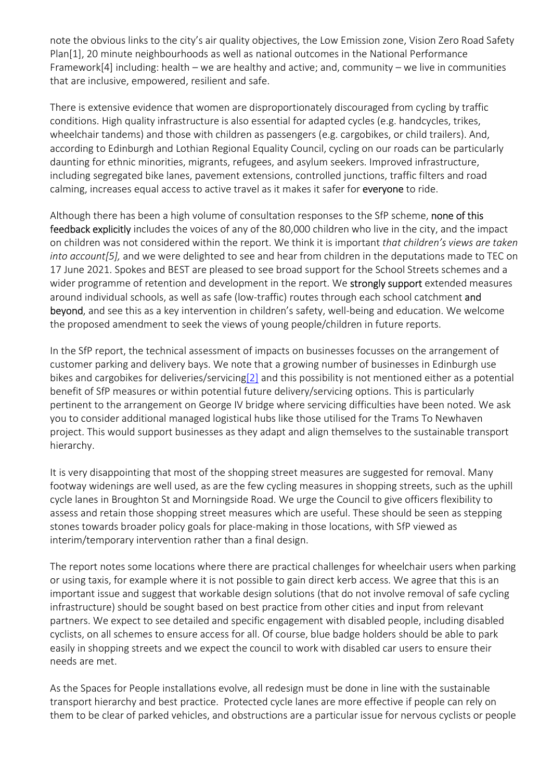note the obvious links to the city's air quality objectives, the Low Emission zone, Vision Zero Road Safety Plan[1], 20 minute neighbourhoods as well as national outcomes in the National Performance Framework[4] including: health – we are healthy and active; and, community – we live in communities that are inclusive, empowered, resilient and safe.

There is extensive evidence that women are disproportionately discouraged from cycling by traffic conditions. High quality infrastructure is also essential for adapted cycles (e.g. handcycles, trikes, wheelchair tandems) and those with children as passengers (e.g. cargobikes, or child trailers). And, according to Edinburgh and Lothian Regional Equality Council, cycling on our roads can be particularly daunting for ethnic minorities, migrants, refugees, and asylum seekers. Improved infrastructure, including segregated bike lanes, pavement extensions, controlled junctions, traffic filters and road calming, increases equal access to active travel as it makes it safer for everyone to ride.

Although there has been a high volume of consultation responses to the SfP scheme, none of this feedback explicitly includes the voices of any of the 80,000 children who live in the city, and the impact on children was not considered within the report. We think it is important that children's views are taken into account [5], and we were delighted to see and hear from children in the deputations made to TEC on 17 June 2021. Spokes and BEST are pleased to see broad support for the School Streets schemes and a wider programme of retention and development in the report. We strongly support extended measures around individual schools, as well as safe (low-traffic) routes through each school catchment and beyond, and see this as a key intervention in children's safety, well-being and education. We welcome the proposed amendment to seek the views of young people/children in future reports.

In the SfP report, the technical assessment of impacts on businesses focusses on the arrangement of customer parking and delivery bays. We note that a growing number of businesses in Edinburgh use bikes and cargobikes for deliveries/servicing[2] and this possibility is not mentioned either as a potential benefit of SfP measures or within potential future delivery/servicing options. This is particularly pertinent to the arrangement on George IV bridge where servicing difficulties have been noted. We ask you to consider additional managed logistical hubs like those utilised for the Trams To Newhaven project. This would support businesses as they adapt and align themselves to the sustainable transport hierarchy.

It is very disappointing that most of the shopping street measures are suggested for removal. Many footway widenings are well used, as are the few cycling measures in shopping streets, such as the uphill cycle lanes in Broughton St and Morningside Road. We urge the Council to give officers flexibility to assess and retain those shopping street measures which are useful. These should be seen as stepping stones towards broader policy goals for place-making in those locations, with SfP viewed as interim/temporary intervention rather than a final design.

The report notes some locations where there are practical challenges for wheelchair users when parking or using taxis, for example where it is not possible to gain direct kerb access. We agree that this is an important issue and suggest that workable design solutions (that do not involve removal of safe cycling infrastructure) should be sought based on best practice from other cities and input from relevant partners. We expect to see detailed and specific engagement with disabled people, including disabled cyclists, on all schemes to ensure access for all. Of course, blue badge holders should be able to park easily in shopping streets and we expect the council to work with disabled car users to ensure their needs are met.

As the Spaces for People installations evolve, all redesign must be done in line with the sustainable transport hierarchy and best practice. Protected cycle lanes are more effective if people can rely on them to be clear of parked vehicles, and obstructions are a particular issue for nervous cyclists or people